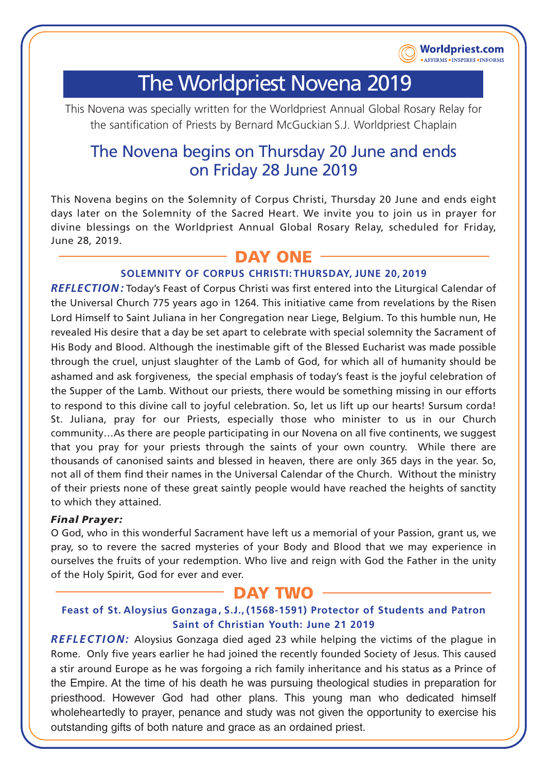

# The Worldpriest Novena 2019

This Novena was specially written for the Worldpriest Annual Global Rosary Relay for the santification of Priests by Bernard McGuckian S.J. Worldpriest Chaplain

# The Novena begins on Thursday 20 June and ends on Friday 28 June 2019

This Novena begins on the Solemnity of Corpus Christi, Thursday 20 June and ends eight days later on the Solemnity of the Sacred Heart. We invite you to join us in prayer for divine blessings on the Worldpriest Annual Global Rosary Relay, scheduled for Friday, June 28, 2019.

# **DAY ONE**

### **SOLEMNITY OF CORPUS CHRISTI: THURSDAY, JUNE 20, 2019**

*REFLECTION:* Today's Feast of Corpus Christi was first entered into the Liturgical Calendar of the Universal Church 775 years ago in 1264. This initiative came from revelations by the Risen Lord Himself to Saint Juliana in her Congregation near Liege, Belgium. To this humble nun, He revealed His desire that a day be set apart to celebrate with special solemnity the Sacrament of His Body and Blood. Although the inestimable gift of the Blessed Eucharist was made possible through the cruel, unjust slaughter of the Lamb of God, for which all of humanity should be ashamed and ask forgiveness, the special emphasis of today's feast is the joyful celebration of the Supper of the Lamb. Without our priests, there would be something missing in our efforts to respond to this divine call to joyful celebration. So, let us lift up our hearts! Sursum corda! St. Juliana, pray for our Priests, especially those who minister to us in our Church community…As there are people participating in our Novena on all five continents, we suggest that you pray for your priests through the saints of your own country. While there are thousands of canonised saints and blessed in heaven, there are only 365 days in the year. So, not all of them find their names in the Universal Calendar of the Church. Without the ministry of their priests none of these great saintly people would have reached the heights of sanctity to which they attained.

### *Final Prayer:*

O God, who in this wonderful Sacrament have left us a memorial of your Passion, grant us, we pray, so to revere the sacred mysteries of your Body and Blood that we may experience in ourselves the fruits of your redemption. Who live and reign with God the Father in the unity of the Holy Spirit, God for ever and ever.

# **DAY TWO**

# **Feast of St. Aloysius Gonzaga, S.J., (1568-1591) Protector of Students and Patron Saint of Christian Youth: June 21 2019**

*REFLECTION:* Aloysius Gonzaga died aged 23 while helping the victims of the plague in Rome. Only five years earlier he had joined the recently founded Society of Jesus. This caused a stir around Europe as he was forgoing a rich family inheritance and his status as a Prince of the Empire. At the time of his death he was pursuing theological studies in preparation for priesthood. However God had other plans. This young man who dedicated himself wholeheartedly to prayer, penance and study was not given the opportunity to exercise his outstanding gifts of both nature and grace as an ordained priest.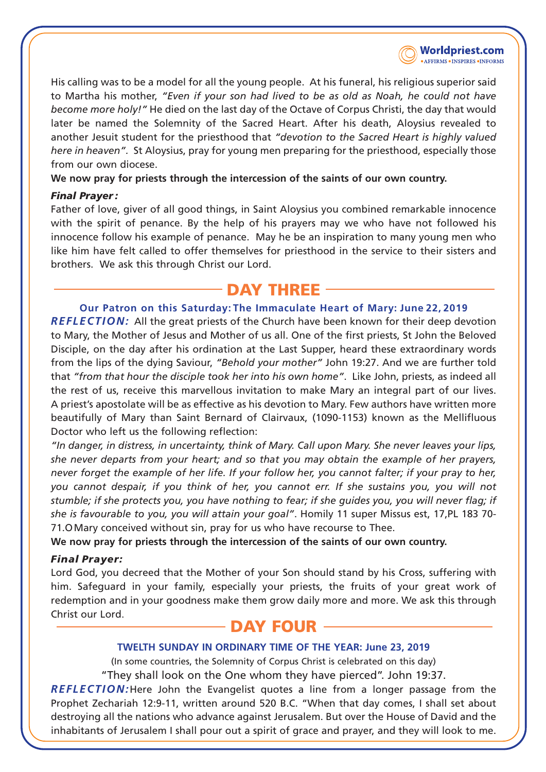

His calling was to be a model for all the young people. At his funeral, his religious superior said to Martha his mother, *"Even if your son had lived to be as old as Noah, he could not have become more holy!"* He died on the last day of the Octave of Corpus Christi, the day that would later be named the Solemnity of the Sacred Heart. After his death, Aloysius revealed to another Jesuit student for the priesthood that *"devotion to the Sacred Heart is highly valued here in heaven".* St Aloysius, pray for young men preparing for the priesthood, especially those from our own diocese.

**We now pray for priests through the intercession of the saints of our own country.**

#### *Final Prayer :*

Father of love, giver of all good things, in Saint Aloysius you combined remarkable innocence with the spirit of penance. By the help of his prayers may we who have not followed his innocence follow his example of penance. May he be an inspiration to many young men who like him have felt called to offer themselves for priesthood in the service to their sisters and brothers. We ask this through Christ our Lord.

# **DAY THREE**

### **Our Patron on this Saturday:The Immaculate Heart of Mary: June 22, 2019**

*REFLECTION:* All the great priests of the Church have been known for their deep devotion to Mary, the Mother of Jesus and Mother of us all. One of the first priests, St John the Beloved Disciple, on the day after his ordination at the Last Supper, heard these extraordinary words from the lips of the dying Saviour, *"Behold your mother"* John 19:27. And we are further told that *"from that hour the disciple took her into his own home"*. Like John, priests, as indeed all the rest of us, receive this marvellous invitation to make Mary an integral part of our lives. A priest's apostolate will be as effective as his devotion to Mary. Few authors have written more beautifully of Mary than Saint Bernard of Clairvaux, (1090-1153) known as the Mellifluous Doctor who left us the following reflection:

*"In danger, in distress, in uncertainty, think of Mary. Call upon Mary. She never leaves your lips, she never departs from your heart; and so that you may obtain the example of her prayers, never forget the example of her life. If your follow her, you cannot falter; if your pray to her, you cannot despair, if you think of her, you cannot err. If she sustains you, you will not stumble; if she protects you, you have nothing to fear; if she guides you, you will never flag; if she is favourable to you, you will attain your goal"*. Homily 11 super Missus est, 17,PL 183 70- 71.OMary conceived without sin, pray for us who have recourse to Thee.

**We now pray for priests through the intercession of the saints of our own country.**

## *Final Prayer:*

Lord God, you decreed that the Mother of your Son should stand by his Cross, suffering with him. Safeguard in your family, especially your priests, the fruits of your great work of redemption and in your goodness make them grow daily more and more. We ask this through Christ our Lord.

# **DAY FOUR**

### **TWELTH SUNDAY IN ORDINARY TIME OF THE YEAR: June 23, 2019**

(In some countries, the Solemnity of Corpus Christ is celebrated on this day) "They shall look on the One whom they have pierced". John 19:37.

*REFLECTION:*Here John the Evangelist quotes a line from a longer passage from the Prophet Zechariah 12:9-11, written around 520 B.C. "When that day comes, I shall set about destroying all the nations who advance against Jerusalem. But over the House of David and the inhabitants of Jerusalem I shall pour out a spirit of grace and prayer, and they will look to me.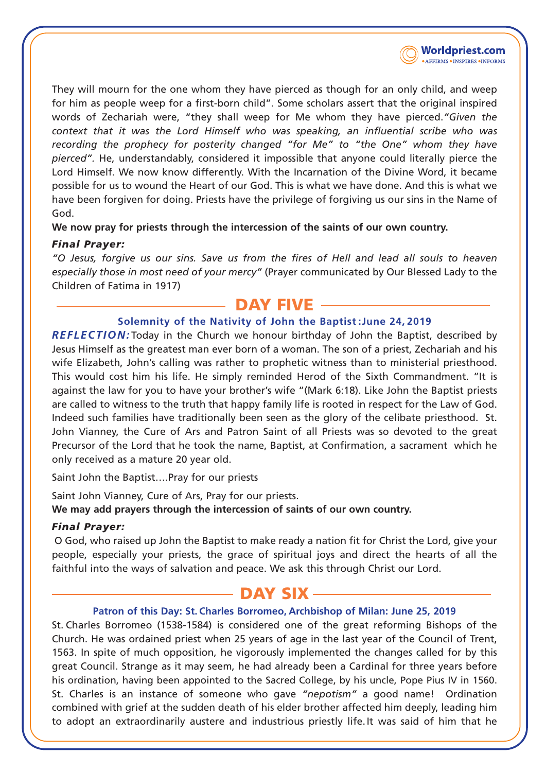

They will mourn for the one whom they have pierced as though for an only child, and weep for him as people weep for a first-born child". Some scholars assert that the original inspired words of Zechariah were, "they shall weep for Me whom they have pierced.*"Given the context that it was the Lord Himself who was speaking, an influential scribe who was recording the prophecy for posterity changed "for Me" to "the One" whom they have pierced".* He, understandably, considered it impossible that anyone could literally pierce the Lord Himself. We now know differently. With the Incarnation of the Divine Word, it became possible for us to wound the Heart of our God. This is what we have done. And this is what we have been forgiven for doing. Priests have the privilege of forgiving us our sins in the Name of God.

**We now pray for priests through the intercession of the saints of our own country.**

### *Final Prayer:*

*"O Jesus, forgive us our sins. Save us from the fires of Hell and lead all souls to heaven especially those in most need of your mercy"* (Prayer communicated by Our Blessed Lady to the Children of Fatima in 1917)

# **DAY FIVE**

### **Solemnity of the Nativity of John the Baptist :June 24, 2019**

*REFLECTION:* Today in the Church we honour birthday of John the Baptist, described by Jesus Himself as the greatest man ever born of a woman. The son of a priest, Zechariah and his wife Elizabeth, John's calling was rather to prophetic witness than to ministerial priesthood. This would cost him his life. He simply reminded Herod of the Sixth Commandment. "It is against the law for you to have your brother's wife "(Mark 6:18). Like John the Baptist priests are called to witness to the truth that happy family life is rooted in respect for the Law of God. Indeed such families have traditionally been seen as the glory of the celibate priesthood. St. John Vianney, the Cure of Ars and Patron Saint of all Priests was so devoted to the great Precursor of the Lord that he took the name, Baptist, at Confirmation, a sacrament which he only received as a mature 20 year old.

Saint John the Baptist….Pray for our priests

Saint John Vianney, Cure of Ars, Pray for our priests. **We may add prayers through the intercession of saints of our own country.**

### *Final Prayer:*

O God, who raised up John the Baptist to make ready a nation fit for Christ the Lord, give your people, especially your priests, the grace of spiritual joys and direct the hearts of all the faithful into the ways of salvation and peace. We ask this through Christ our Lord.

# - DAY SIX -

### **Patron of this Day: St. Charles Borromeo, Archbishop of Milan: June 25, 2019**

St. Charles Borromeo (1538-1584) is considered one of the great reforming Bishops of the Church. He was ordained priest when 25 years of age in the last year of the Council of Trent, 1563. In spite of much opposition, he vigorously implemented the changes called for by this great Council. Strange as it may seem, he had already been a Cardinal for three years before his ordination, having been appointed to the Sacred College, by his uncle, Pope Pius IV in 1560. St. Charles is an instance of someone who gave *"nepotism"* a good name! Ordination combined with grief at the sudden death of his elder brother affected him deeply, leading him to adopt an extraordinarily austere and industrious priestly life.It was said of him that he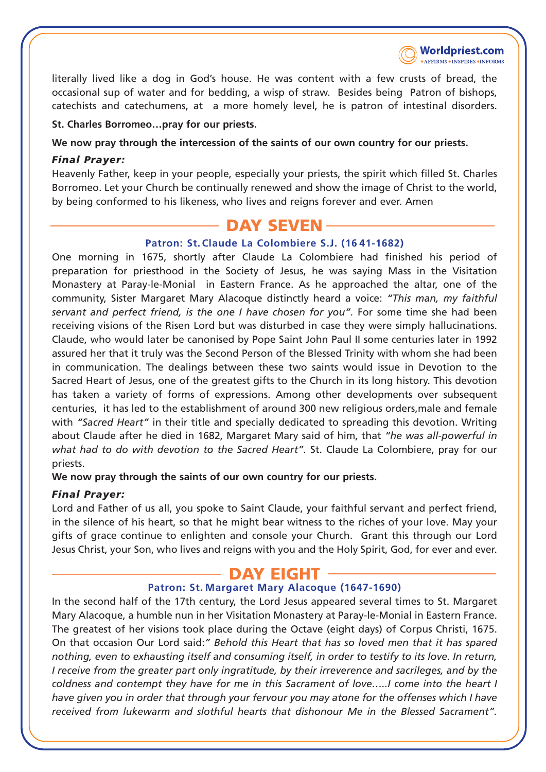

literally lived like a dog in God's house. He was content with a few crusts of bread, the occasional sup of water and for bedding, a wisp of straw. Besides being Patron of bishops, catechists and catechumens, at a more homely level, he is patron of intestinal disorders.

#### **St. Charles Borromeo…pray for our priests.**

#### **We now pray through the intercession of the saints of our own country for our priests.**

#### *Final Prayer:*

Heavenly Father, keep in your people, especially your priests, the spirit which filled St. Charles Borromeo. Let your Church be continually renewed and show the image of Christ to the world, by being conformed to his likeness, who lives and reigns forever and ever. Amen

# **DAY SEVEN**

#### **Patron: St.Claude La Colombiere S.J. (16 41-1682)**

One morning in 1675, shortly after Claude La Colombiere had finished his period of preparation for priesthood in the Society of Jesus, he was saying Mass in the Visitation Monastery at Paray-le-Monial in Eastern France. As he approached the altar, one of the community, Sister Margaret Mary Alacoque distinctly heard a voice: *"This man, my faithful servant and perfect friend, is the one I have chosen for you".* For some time she had been receiving visions of the Risen Lord but was disturbed in case they were simply hallucinations. Claude, who would later be canonised by Pope Saint John Paul II some centuries later in 1992 assured her that it truly was the Second Person of the Blessed Trinity with whom she had been in communication. The dealings between these two saints would issue in Devotion to the Sacred Heart of Jesus, one of the greatest gifts to the Church in its long history. This devotion has taken a variety of forms of expressions. Among other developments over subsequent centuries, it has led to the establishment of around 300 new religious orders,male and female with *"Sacred Heart"* in their title and specially dedicated to spreading this devotion. Writing about Claude after he died in 1682, Margaret Mary said of him, that *"he was all-powerful in what had to do with devotion to the Sacred Heart".* St. Claude La Colombiere, pray for our priests.

**We now pray through the saints of our own country for our priests.**

#### *Final Prayer:*

Lord and Father of us all, you spoke to Saint Claude, your faithful servant and perfect friend, in the silence of his heart, so that he might bear witness to the riches of your love. May your gifts of grace continue to enlighten and console your Church. Grant this through our Lord Jesus Christ, your Son, who lives and reigns with you and the Holy Spirit, God, for ever and ever.

# - DAY EIGHT -

#### **Patron: St. Margaret Mary Alacoque (1647-1690)**

In the second half of the 17th century, the Lord Jesus appeared several times to St. Margaret Mary Alacoque, a humble nun in her Visitation Monastery at Paray-le-Monial in Eastern France. The greatest of her visions took place during the Octave (eight days) of Corpus Christi, 1675. On that occasion Our Lord said:*" Behold this Heart that has so loved men that it has spared nothing, even to exhausting itself and consuming itself, in order to testify to its love. In return, I receive from the greater part only ingratitude, by their irreverence and sacrileges, and by the coldness and contempt they have for me in this Sacrament of love…..I come into the heart I have given you in order that through your fervour you may atone for the offenses which I have received from lukewarm and slothful hearts that dishonour Me in the Blessed Sacrament".*